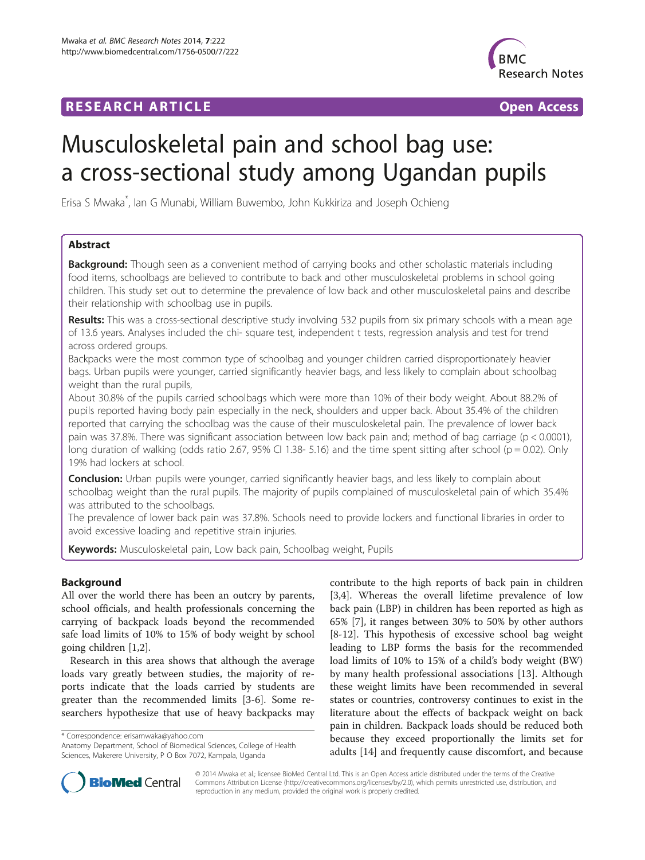# **RESEARCH ARTICLE Example 2014 CONSIDERING A RESEARCH ARTICLE**



# Musculoskeletal pain and school bag use: a cross-sectional study among Ugandan pupils

Erisa S Mwaka\* , Ian G Munabi, William Buwembo, John Kukkiriza and Joseph Ochieng

# Abstract

**Background:** Though seen as a convenient method of carrying books and other scholastic materials including food items, schoolbags are believed to contribute to back and other musculoskeletal problems in school going children. This study set out to determine the prevalence of low back and other musculoskeletal pains and describe their relationship with schoolbag use in pupils.

Results: This was a cross-sectional descriptive study involving 532 pupils from six primary schools with a mean age of 13.6 years. Analyses included the chi- square test, independent t tests, regression analysis and test for trend across ordered groups.

Backpacks were the most common type of schoolbag and younger children carried disproportionately heavier bags. Urban pupils were younger, carried significantly heavier bags, and less likely to complain about schoolbag weight than the rural pupils,

About 30.8% of the pupils carried schoolbags which were more than 10% of their body weight. About 88.2% of pupils reported having body pain especially in the neck, shoulders and upper back. About 35.4% of the children reported that carrying the schoolbag was the cause of their musculoskeletal pain. The prevalence of lower back pain was 37.8%. There was significant association between low back pain and; method of bag carriage (p < 0.0001), long duration of walking (odds ratio 2.67, 95% CI 1.38- 5.16) and the time spent sitting after school ( $p = 0.02$ ). Only 19% had lockers at school.

**Conclusion:** Urban pupils were younger, carried significantly heavier bags, and less likely to complain about schoolbag weight than the rural pupils. The majority of pupils complained of musculoskeletal pain of which 35.4% was attributed to the schoolbags.

The prevalence of lower back pain was 37.8%. Schools need to provide lockers and functional libraries in order to avoid excessive loading and repetitive strain injuries.

Keywords: Musculoskeletal pain, Low back pain, Schoolbag weight, Pupils

# Background

All over the world there has been an outcry by parents, school officials, and health professionals concerning the carrying of backpack loads beyond the recommended safe load limits of 10% to 15% of body weight by school going children [[1,2\]](#page-5-0).

Research in this area shows that although the average loads vary greatly between studies, the majority of reports indicate that the loads carried by students are greater than the recommended limits [\[3-6](#page-5-0)]. Some researchers hypothesize that use of heavy backpacks may

\* Correspondence: [erisamwaka@yahoo.com](mailto:erisamwaka@yahoo.com)

Anatomy Department, School of Biomedical Sciences, College of Health Sciences, Makerere University, P O Box 7072, Kampala, Uganda

contribute to the high reports of back pain in children [[3,4\]](#page-5-0). Whereas the overall lifetime prevalence of low back pain (LBP) in children has been reported as high as 65% [\[7\]](#page-5-0), it ranges between 30% to 50% by other authors [[8-12](#page-5-0)]. This hypothesis of excessive school bag weight leading to LBP forms the basis for the recommended load limits of 10% to 15% of a child's body weight (BW) by many health professional associations [\[13](#page-5-0)]. Although these weight limits have been recommended in several states or countries, controversy continues to exist in the literature about the effects of backpack weight on back pain in children. Backpack loads should be reduced both because they exceed proportionally the limits set for adults [\[14](#page-5-0)] and frequently cause discomfort, and because



© 2014 Mwaka et al.; licensee BioMed Central Ltd. This is an Open Access article distributed under the terms of the Creative Commons Attribution License [\(http://creativecommons.org/licenses/by/2.0\)](http://creativecommons.org/licenses/by/2.0), which permits unrestricted use, distribution, and reproduction in any medium, provided the original work is properly credited.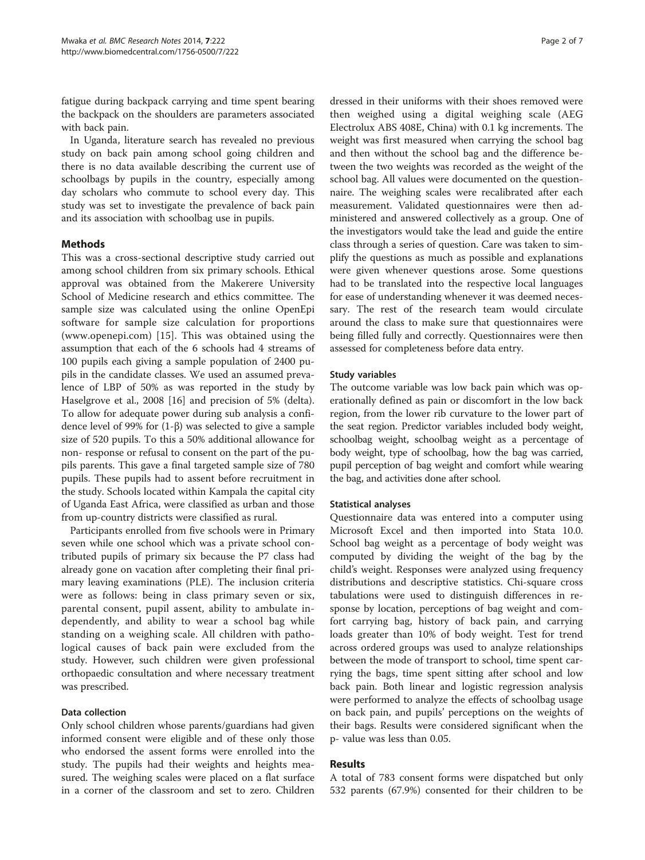fatigue during backpack carrying and time spent bearing the backpack on the shoulders are parameters associated with back pain.

In Uganda, literature search has revealed no previous study on back pain among school going children and there is no data available describing the current use of schoolbags by pupils in the country, especially among day scholars who commute to school every day. This study was set to investigate the prevalence of back pain and its association with schoolbag use in pupils.

# Methods

This was a cross-sectional descriptive study carried out among school children from six primary schools. Ethical approval was obtained from the Makerere University School of Medicine research and ethics committee. The sample size was calculated using the online OpenEpi software for sample size calculation for proportions ([www.openepi.com](http://www.openepi.com)) [[15\]](#page-5-0). This was obtained using the assumption that each of the 6 schools had 4 streams of 100 pupils each giving a sample population of 2400 pupils in the candidate classes. We used an assumed prevalence of LBP of 50% as was reported in the study by Haselgrove et al., 2008 [[16](#page-5-0)] and precision of 5% (delta). To allow for adequate power during sub analysis a confidence level of 99% for (1-β) was selected to give a sample size of 520 pupils. To this a 50% additional allowance for non- response or refusal to consent on the part of the pupils parents. This gave a final targeted sample size of 780 pupils. These pupils had to assent before recruitment in the study. Schools located within Kampala the capital city of Uganda East Africa, were classified as urban and those from up-country districts were classified as rural.

Participants enrolled from five schools were in Primary seven while one school which was a private school contributed pupils of primary six because the P7 class had already gone on vacation after completing their final primary leaving examinations (PLE). The inclusion criteria were as follows: being in class primary seven or six, parental consent, pupil assent, ability to ambulate independently, and ability to wear a school bag while standing on a weighing scale. All children with pathological causes of back pain were excluded from the study. However, such children were given professional orthopaedic consultation and where necessary treatment was prescribed.

# Data collection

Only school children whose parents/guardians had given informed consent were eligible and of these only those who endorsed the assent forms were enrolled into the study. The pupils had their weights and heights measured. The weighing scales were placed on a flat surface in a corner of the classroom and set to zero. Children

dressed in their uniforms with their shoes removed were then weighed using a digital weighing scale (AEG Electrolux ABS 408E, China) with 0.1 kg increments. The weight was first measured when carrying the school bag and then without the school bag and the difference between the two weights was recorded as the weight of the school bag. All values were documented on the questionnaire. The weighing scales were recalibrated after each measurement. Validated questionnaires were then administered and answered collectively as a group. One of the investigators would take the lead and guide the entire class through a series of question. Care was taken to simplify the questions as much as possible and explanations were given whenever questions arose. Some questions had to be translated into the respective local languages for ease of understanding whenever it was deemed necessary. The rest of the research team would circulate around the class to make sure that questionnaires were being filled fully and correctly. Questionnaires were then assessed for completeness before data entry.

# Study variables

The outcome variable was low back pain which was operationally defined as pain or discomfort in the low back region, from the lower rib curvature to the lower part of the seat region. Predictor variables included body weight, schoolbag weight, schoolbag weight as a percentage of body weight, type of schoolbag, how the bag was carried, pupil perception of bag weight and comfort while wearing the bag, and activities done after school.

# Statistical analyses

Questionnaire data was entered into a computer using Microsoft Excel and then imported into Stata 10.0. School bag weight as a percentage of body weight was computed by dividing the weight of the bag by the child's weight. Responses were analyzed using frequency distributions and descriptive statistics. Chi-square cross tabulations were used to distinguish differences in response by location, perceptions of bag weight and comfort carrying bag, history of back pain, and carrying loads greater than 10% of body weight. Test for trend across ordered groups was used to analyze relationships between the mode of transport to school, time spent carrying the bags, time spent sitting after school and low back pain. Both linear and logistic regression analysis were performed to analyze the effects of schoolbag usage on back pain, and pupils' perceptions on the weights of their bags. Results were considered significant when the p- value was less than 0.05.

# Results

A total of 783 consent forms were dispatched but only 532 parents (67.9%) consented for their children to be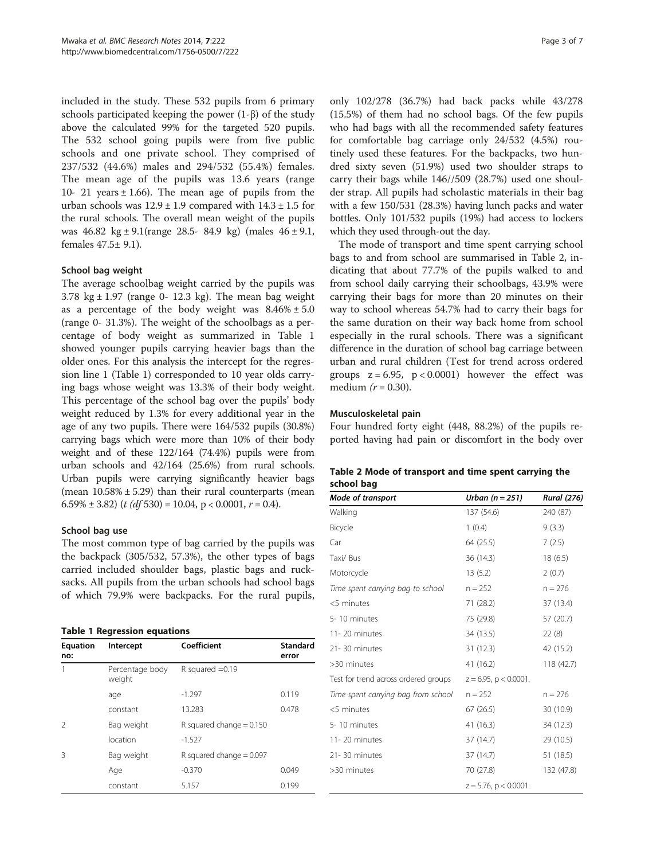<span id="page-2-0"></span>included in the study. These 532 pupils from 6 primary schools participated keeping the power (1-β) of the study above the calculated 99% for the targeted 520 pupils. The 532 school going pupils were from five public schools and one private school. They comprised of 237/532 (44.6%) males and 294/532 (55.4%) females. The mean age of the pupils was 13.6 years (range 10- 21 years  $\pm$  1.66). The mean age of pupils from the urban schools was  $12.9 \pm 1.9$  compared with  $14.3 \pm 1.5$  for the rural schools. The overall mean weight of the pupils was  $46.82 \text{ kg} \pm 9.1 \text{(range 28.5-84.9 kg)}$  (males  $46 \pm 9.1$ , females 47.5± 9.1).

# School bag weight

The average schoolbag weight carried by the pupils was 3.78 kg  $\pm$  1.97 (range 0- 12.3 kg). The mean bag weight as a percentage of the body weight was  $8.46\% \pm 5.0$ (range 0- 31.3%). The weight of the schoolbags as a percentage of body weight as summarized in Table 1 showed younger pupils carrying heavier bags than the older ones. For this analysis the intercept for the regression line 1 (Table 1) corresponded to 10 year olds carrying bags whose weight was 13.3% of their body weight. This percentage of the school bag over the pupils' body weight reduced by 1.3% for every additional year in the age of any two pupils. There were 164/532 pupils (30.8%) carrying bags which were more than 10% of their body weight and of these 122/164 (74.4%) pupils were from urban schools and 42/164 (25.6%) from rural schools. Urban pupils were carrying significantly heavier bags (mean  $10.58\% \pm 5.29$ ) than their rural counterparts (mean 6.59%  $\pm$  3.82) (t (df 530) = 10.04, p < 0.0001, r = 0.4).

# School bag use

The most common type of bag carried by the pupils was the backpack (305/532, 57.3%), the other types of bags carried included shoulder bags, plastic bags and rucksacks. All pupils from the urban schools had school bags of which 79.9% were backpacks. For the rural pupils,

#### Table 1 Regression equations

| <b>Equation</b><br>no: | Intercept                 | Coefficient                | <b>Standard</b><br>error |
|------------------------|---------------------------|----------------------------|--------------------------|
|                        | Percentage body<br>weight | R squared $=0.19$          |                          |
|                        | age                       | $-1.297$                   | 0.119                    |
|                        | constant                  | 13.283                     | 0.478                    |
| $\mathcal{P}$          | Bag weight                | R squared change $= 0.150$ |                          |
|                        | location                  | $-1.527$                   |                          |
| 3                      | Bag weight                | R squared change $= 0.097$ |                          |
|                        | Age                       | $-0.370$                   | 0.049                    |
|                        | constant                  | 5.157                      | 0.199                    |

only 102/278 (36.7%) had back packs while 43/278 (15.5%) of them had no school bags. Of the few pupils who had bags with all the recommended safety features for comfortable bag carriage only 24/532 (4.5%) routinely used these features. For the backpacks, two hundred sixty seven (51.9%) used two shoulder straps to carry their bags while 146//509 (28.7%) used one shoulder strap. All pupils had scholastic materials in their bag with a few 150/531 (28.3%) having lunch packs and water bottles. Only 101/532 pupils (19%) had access to lockers which they used through-out the day.

The mode of transport and time spent carrying school bags to and from school are summarised in Table 2, indicating that about 77.7% of the pupils walked to and from school daily carrying their schoolbags, 43.9% were carrying their bags for more than 20 minutes on their way to school whereas 54.7% had to carry their bags for the same duration on their way back home from school especially in the rural schools. There was a significant difference in the duration of school bag carriage between urban and rural children (Test for trend across ordered groups  $z = 6.95$ ,  $p < 0.0001$ ) however the effect was medium  $(r = 0.30)$ .

#### Musculoskeletal pain

Four hundred forty eight (448, 88.2%) of the pupils reported having had pain or discomfort in the body over

|            | Table 2 Mode of transport and time spent carrying the |  |
|------------|-------------------------------------------------------|--|
| school bag |                                                       |  |

| <b>Mode of transport</b>             | Urban $(n = 251)$           | <b>Rural (276)</b> |  |
|--------------------------------------|-----------------------------|--------------------|--|
| Walking                              | 137 (54.6)                  | 240 (87)           |  |
| Bicycle                              | 1(0.4)                      | 9(3.3)             |  |
| Car                                  | 64 (25.5)                   | 7(2.5)             |  |
| Taxi/ Bus                            | 36 (14.3)                   | 18(6.5)            |  |
| Motorcycle                           | 13(5.2)                     | 2(0.7)             |  |
| Time spent carrying bag to school    | $n = 252$                   | $n = 276$          |  |
| <5 minutes                           | 71 (28.2)                   | 37 (13.4)          |  |
| 5-10 minutes                         | 75 (29.8)                   | 57 (20.7)          |  |
| 11-20 minutes                        | 34 (13.5)                   | 22(8)              |  |
| 21-30 minutes                        | 31 (12.3)                   | 42 (15.2)          |  |
| >30 minutes                          | 41 (16.2)                   | 118 (42.7)         |  |
| Test for trend across ordered groups | $z = 6.95$ , $p < 0.0001$ . |                    |  |
| Time spent carrying bag from school  | $n = 252$                   | $n = 276$          |  |
| <5 minutes                           | 67(26.5)                    | 30 (10.9)          |  |
| 5-10 minutes                         | 41 (16.3)                   | 34 (12.3)          |  |
| 11-20 minutes                        | 37 (14.7)                   | 29 (10.5)          |  |
| 21-30 minutes                        | 37 (14.7)                   | 51 (18.5)          |  |
| >30 minutes                          | 70 (27.8)                   | 132 (47.8)         |  |
|                                      | $z = 5.76$ , $p < 0.0001$ . |                    |  |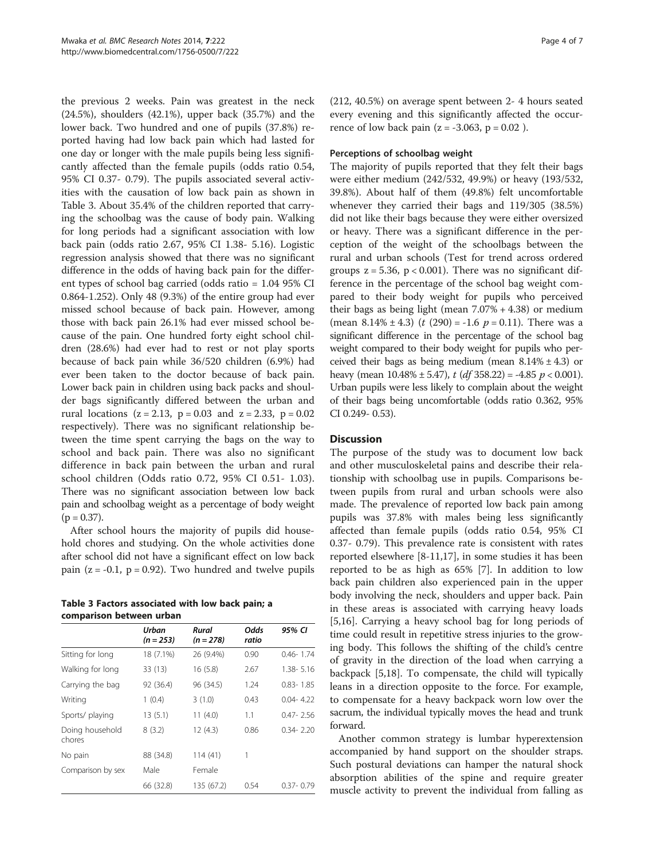the previous 2 weeks. Pain was greatest in the neck (24.5%), shoulders (42.1%), upper back (35.7%) and the lower back. Two hundred and one of pupils (37.8%) reported having had low back pain which had lasted for one day or longer with the male pupils being less significantly affected than the female pupils (odds ratio 0.54, 95% CI 0.37- 0.79). The pupils associated several activities with the causation of low back pain as shown in Table 3. About 35.4% of the children reported that carrying the schoolbag was the cause of body pain. Walking for long periods had a significant association with low back pain (odds ratio 2.67, 95% CI 1.38- 5.16). Logistic regression analysis showed that there was no significant difference in the odds of having back pain for the different types of school bag carried (odds ratio = 1.04 95% CI 0.864-1.252). Only 48 (9.3%) of the entire group had ever missed school because of back pain. However, among those with back pain 26.1% had ever missed school because of the pain. One hundred forty eight school children (28.6%) had ever had to rest or not play sports because of back pain while 36/520 children (6.9%) had ever been taken to the doctor because of back pain. Lower back pain in children using back packs and shoulder bags significantly differed between the urban and rural locations  $(z = 2.13, p = 0.03$  and  $z = 2.33, p = 0.02$ respectively). There was no significant relationship between the time spent carrying the bags on the way to school and back pain. There was also no significant difference in back pain between the urban and rural school children (Odds ratio 0.72, 95% CI 0.51- 1.03). There was no significant association between low back pain and schoolbag weight as a percentage of body weight  $(p = 0.37)$ .

After school hours the majority of pupils did household chores and studying. On the whole activities done after school did not have a significant effect on low back pain ( $z = -0.1$ ,  $p = 0.92$ ). Two hundred and twelve pupils

Table 3 Factors associated with low back pain; a comparison between urban

|                           | Urban<br>$(n = 253)$ | Rural<br>$(n = 278)$ | Odds<br>ratio | 95% CI        |
|---------------------------|----------------------|----------------------|---------------|---------------|
| Sitting for long          | 18 (7.1%)            | 26 (9.4%)            | 0.90          | $0.46 - 1.74$ |
| Walking for long          | 33 (13)              | 16(5.8)              | 2.67          | $1.38 - 5.16$ |
| Carrying the bag          | 92 (36.4)            | 96 (34.5)            | 1.24          | $0.83 - 1.85$ |
| Writing                   | 1(0.4)               | 3(1.0)               | 0.43          | $0.04 - 4.22$ |
| Sports/playing            | 13(5.1)              | 11(4.0)              | 1.1           | $0.47 - 2.56$ |
| Doing household<br>chores | 8(3.2)               | 12(4.3)              | 0.86          | $0.34 - 2.20$ |
| No pain                   | 88 (34.8)            | 114(41)              | 1             |               |
| Comparison by sex         | Male                 | Female               |               |               |
|                           | 66 (32.8)            | 135 (67.2)           | 0.54          | $0.37 - 0.79$ |

(212, 40.5%) on average spent between 2- 4 hours seated every evening and this significantly affected the occurrence of low back pain  $(z = -3.063, p = 0.02)$ .

#### Perceptions of schoolbag weight

The majority of pupils reported that they felt their bags were either medium (242/532, 49.9%) or heavy (193/532, 39.8%). About half of them (49.8%) felt uncomfortable whenever they carried their bags and 119/305 (38.5%) did not like their bags because they were either oversized or heavy. There was a significant difference in the perception of the weight of the schoolbags between the rural and urban schools (Test for trend across ordered groups  $z = 5.36$ ,  $p < 0.001$ ). There was no significant difference in the percentage of the school bag weight compared to their body weight for pupils who perceived their bags as being light (mean  $7.07\% + 4.38$ ) or medium (mean  $8.14\% \pm 4.3$ ) (t (290) = -1.6  $p = 0.11$ ). There was a significant difference in the percentage of the school bag weight compared to their body weight for pupils who perceived their bags as being medium (mean  $8.14\% \pm 4.3$ ) or heavy (mean  $10.48\% \pm 5.47$ ), t (df 358.22) = -4.85  $p < 0.001$ ). Urban pupils were less likely to complain about the weight of their bags being uncomfortable (odds ratio 0.362, 95% CI 0.249- 0.53).

#### **Discussion**

The purpose of the study was to document low back and other musculoskeletal pains and describe their relationship with schoolbag use in pupils. Comparisons between pupils from rural and urban schools were also made. The prevalence of reported low back pain among pupils was 37.8% with males being less significantly affected than female pupils (odds ratio 0.54, 95% CI 0.37- 0.79). This prevalence rate is consistent with rates reported elsewhere [[8-11,17\]](#page-5-0), in some studies it has been reported to be as high as 65% [\[7](#page-5-0)]. In addition to low back pain children also experienced pain in the upper body involving the neck, shoulders and upper back. Pain in these areas is associated with carrying heavy loads [[5,16\]](#page-5-0). Carrying a heavy school bag for long periods of time could result in repetitive stress injuries to the growing body. This follows the shifting of the child's centre of gravity in the direction of the load when carrying a backpack [[5](#page-5-0),[18](#page-5-0)]. To compensate, the child will typically leans in a direction opposite to the force. For example, to compensate for a heavy backpack worn low over the sacrum, the individual typically moves the head and trunk forward.

Another common strategy is lumbar hyperextension accompanied by hand support on the shoulder straps. Such postural deviations can hamper the natural shock absorption abilities of the spine and require greater muscle activity to prevent the individual from falling as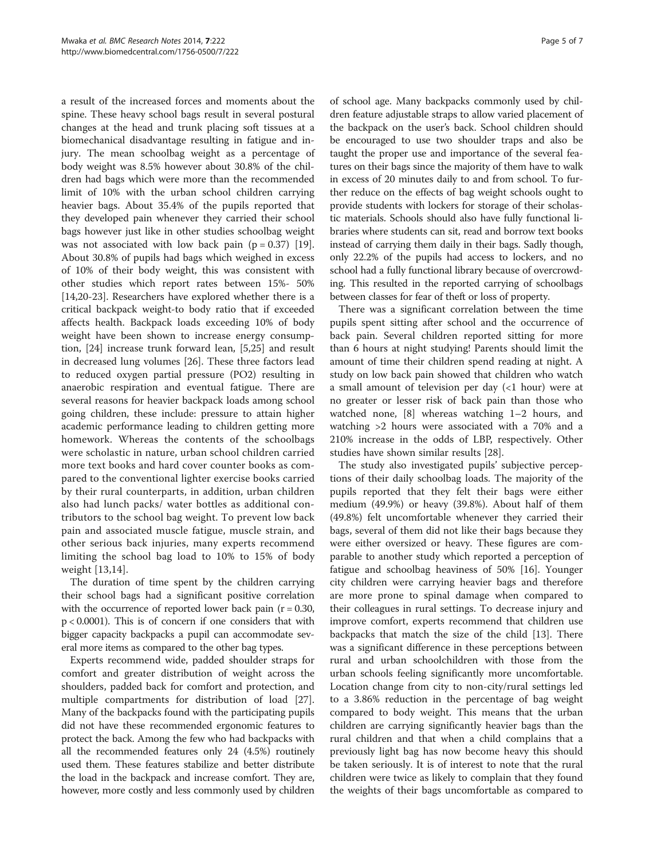a result of the increased forces and moments about the spine. These heavy school bags result in several postural changes at the head and trunk placing soft tissues at a biomechanical disadvantage resulting in fatigue and injury. The mean schoolbag weight as a percentage of body weight was 8.5% however about 30.8% of the children had bags which were more than the recommended limit of 10% with the urban school children carrying heavier bags. About 35.4% of the pupils reported that they developed pain whenever they carried their school bags however just like in other studies schoolbag weight was not associated with low back pain  $(p = 0.37)$  [\[19](#page-5-0)]. About 30.8% of pupils had bags which weighed in excess of 10% of their body weight, this was consistent with other studies which report rates between 15%- 50% [[14,20-23\]](#page-5-0). Researchers have explored whether there is a critical backpack weight-to body ratio that if exceeded affects health. Backpack loads exceeding 10% of body weight have been shown to increase energy consumption, [\[24](#page-5-0)] increase trunk forward lean, [[5,25\]](#page-5-0) and result in decreased lung volumes [\[26\]](#page-5-0). These three factors lead to reduced oxygen partial pressure (PO2) resulting in anaerobic respiration and eventual fatigue. There are several reasons for heavier backpack loads among school going children, these include: pressure to attain higher academic performance leading to children getting more homework. Whereas the contents of the schoolbags were scholastic in nature, urban school children carried more text books and hard cover counter books as compared to the conventional lighter exercise books carried by their rural counterparts, in addition, urban children also had lunch packs/ water bottles as additional contributors to the school bag weight. To prevent low back pain and associated muscle fatigue, muscle strain, and other serious back injuries, many experts recommend limiting the school bag load to 10% to 15% of body weight [[13,14](#page-5-0)].

The duration of time spent by the children carrying their school bags had a significant positive correlation with the occurrence of reported lower back pain ( $r = 0.30$ , p < 0.0001). This is of concern if one considers that with bigger capacity backpacks a pupil can accommodate several more items as compared to the other bag types.

Experts recommend wide, padded shoulder straps for comfort and greater distribution of weight across the shoulders, padded back for comfort and protection, and multiple compartments for distribution of load [\[27](#page-6-0)]. Many of the backpacks found with the participating pupils did not have these recommended ergonomic features to protect the back. Among the few who had backpacks with all the recommended features only 24 (4.5%) routinely used them. These features stabilize and better distribute the load in the backpack and increase comfort. They are, however, more costly and less commonly used by children of school age. Many backpacks commonly used by children feature adjustable straps to allow varied placement of the backpack on the user's back. School children should be encouraged to use two shoulder traps and also be taught the proper use and importance of the several features on their bags since the majority of them have to walk in excess of 20 minutes daily to and from school. To further reduce on the effects of bag weight schools ought to provide students with lockers for storage of their scholastic materials. Schools should also have fully functional libraries where students can sit, read and borrow text books instead of carrying them daily in their bags. Sadly though, only 22.2% of the pupils had access to lockers, and no school had a fully functional library because of overcrowding. This resulted in the reported carrying of schoolbags between classes for fear of theft or loss of property.

There was a significant correlation between the time pupils spent sitting after school and the occurrence of back pain. Several children reported sitting for more than 6 hours at night studying! Parents should limit the amount of time their children spend reading at night. A study on low back pain showed that children who watch a small amount of television per day  $($ 1 hour) were at no greater or lesser risk of back pain than those who watched none, [[8\]](#page-5-0) whereas watching 1–2 hours, and watching >2 hours were associated with a 70% and a 210% increase in the odds of LBP, respectively. Other studies have shown similar results [\[28](#page-6-0)].

The study also investigated pupils' subjective perceptions of their daily schoolbag loads. The majority of the pupils reported that they felt their bags were either medium (49.9%) or heavy (39.8%). About half of them (49.8%) felt uncomfortable whenever they carried their bags, several of them did not like their bags because they were either oversized or heavy. These figures are comparable to another study which reported a perception of fatigue and schoolbag heaviness of 50% [[16\]](#page-5-0). Younger city children were carrying heavier bags and therefore are more prone to spinal damage when compared to their colleagues in rural settings. To decrease injury and improve comfort, experts recommend that children use backpacks that match the size of the child [[13\]](#page-5-0). There was a significant difference in these perceptions between rural and urban schoolchildren with those from the urban schools feeling significantly more uncomfortable. Location change from city to non-city/rural settings led to a 3.86% reduction in the percentage of bag weight compared to body weight. This means that the urban children are carrying significantly heavier bags than the rural children and that when a child complains that a previously light bag has now become heavy this should be taken seriously. It is of interest to note that the rural children were twice as likely to complain that they found the weights of their bags uncomfortable as compared to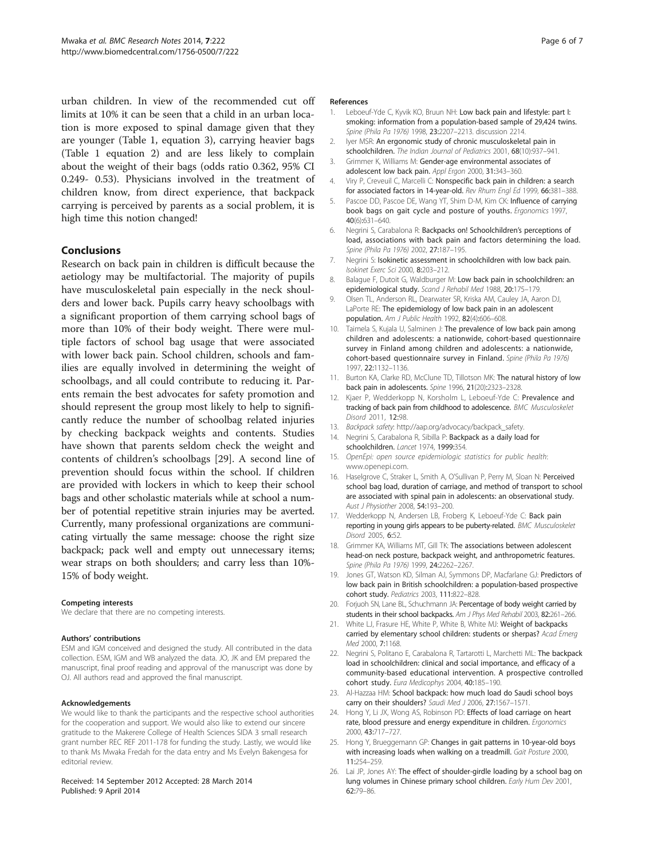<span id="page-5-0"></span>urban children. In view of the recommended cut off limits at 10% it can be seen that a child in an urban location is more exposed to spinal damage given that they are younger (Table [1,](#page-2-0) equation 3), carrying heavier bags (Table [1](#page-2-0) equation 2) and are less likely to complain about the weight of their bags (odds ratio 0.362, 95% CI 0.249- 0.53). Physicians involved in the treatment of children know, from direct experience, that backpack carrying is perceived by parents as a social problem, it is high time this notion changed!

#### **Conclusions**

Research on back pain in children is difficult because the aetiology may be multifactorial. The majority of pupils have musculoskeletal pain especially in the neck shoulders and lower back. Pupils carry heavy schoolbags with a significant proportion of them carrying school bags of more than 10% of their body weight. There were multiple factors of school bag usage that were associated with lower back pain. School children, schools and families are equally involved in determining the weight of schoolbags, and all could contribute to reducing it. Parents remain the best advocates for safety promotion and should represent the group most likely to help to significantly reduce the number of schoolbag related injuries by checking backpack weights and contents. Studies have shown that parents seldom check the weight and contents of children's schoolbags [\[29](#page-6-0)]. A second line of prevention should focus within the school. If children are provided with lockers in which to keep their school bags and other scholastic materials while at school a number of potential repetitive strain injuries may be averted. Currently, many professional organizations are communicating virtually the same message: choose the right size backpack; pack well and empty out unnecessary items; wear straps on both shoulders; and carry less than 10%- 15% of body weight.

#### Competing interests

We declare that there are no competing interests.

#### Authors' contributions

ESM and IGM conceived and designed the study. All contributed in the data collection. ESM, IGM and WB analyzed the data. JO, JK and EM prepared the manuscript, final proof reading and approval of the manuscript was done by OJ. All authors read and approved the final manuscript.

#### Acknowledgements

We would like to thank the participants and the respective school authorities for the cooperation and support. We would also like to extend our sincere gratitude to the Makerere College of Health Sciences SIDA 3 small research grant number REC REF 2011-178 for funding the study. Lastly, we would like to thank Ms Mwaka Fredah for the data entry and Ms Evelyn Bakengesa for editorial review.

#### Received: 14 September 2012 Accepted: 28 March 2014 Published: 9 April 2014

#### References

- 1. Leboeuf-Yde C, Kyvik KO, Bruun NH: Low back pain and lifestyle: part I: smoking: information from a population-based sample of 29,424 twins. Spine (Phila Pa 1976) 1998, 23:2207–2213. discussion 2214.
- 2. Iyer MSR: An ergonomic study of chronic musculoskeletal pain in schoolchildren. The Indian Journal of Pediatrics 2001, 68(10):937–941.
- 3. Grimmer K, Williams M: Gender-age environmental associates of adolescent low back pain. Appl Ergon 2000, 31:343–360.
- 4. Viry P, Creveuil C, Marcelli C: Nonspecific back pain in children: a search for associated factors in 14-year-old. Rev Rhum Engl Ed 1999, 66:381–388.
- 5. Pascoe DD, Pascoe DE, Wang YT, Shim D-M, Kim CK: Influence of carrying book bags on gait cycle and posture of youths. Ergonomics 1997, 40(6):631–640.
- 6. Negrini S, Carabalona R: Backpacks on! Schoolchildren's perceptions of load, associations with back pain and factors determining the load. Spine (Phila Pa 1976) 2002, 27:187–195.
- 7. Negrini S: Isokinetic assessment in schoolchildren with low back pain. Isokinet Exerc Sci 2000, 8:203–212.
- 8. Balague F, Dutoit G, Waldburger M: Low back pain in schoolchildren: an epidemiological study. Scand J Rehabil Med 1988, 20:175–179.
- 9. Olsen TL, Anderson RL, Dearwater SR, Kriska AM, Cauley JA, Aaron DJ, LaPorte RE: The epidemiology of low back pain in an adolescent population. Am J Public Health 1992, 82(4):606–608.
- 10. Taimela S, Kujala U, Salminen J: The prevalence of low back pain among children and adolescents: a nationwide, cohort-based questionnaire survey in Finland among children and adolescents: a nationwide, cohort-based questionnaire survey in Finland. Spine (Phila Pa 1976) 1997, 22:1132–1136.
- 11. Burton KA, Clarke RD, McClune TD, Tillotson MK: The natural history of low back pain in adolescents. Spine 1996, 21(20):2323–2328.
- 12. Kjaer P, Wedderkopp N, Korsholm L, Leboeuf-Yde C: Prevalence and tracking of back pain from childhood to adolescence. BMC Musculoskelet Disord 2011, 12:98.
- 13. Backpack safety: [http://aap.org/advocacy/backpack\\_safety](http://aap.org/advocacy/backpack_safety).
- 14. Negrini S, Carabalona R, Sibilla P: Backpack as a daily load for schoolchildren. Lancet 1974, 1999:354.
- 15. OpenEpi: open source epidemiologic statistics for public health: [www.openepi.com](http://www.openepi.com).
- 16. Haselgrove C, Straker L, Smith A, O'Sullivan P, Perry M, Sloan N: Perceived school bag load, duration of carriage, and method of transport to school are associated with spinal pain in adolescents: an observational study. Aust J Physiother 2008, 54:193–200.
- 17. Wedderkopp N, Andersen LB, Froberg K, Leboeuf-Yde C: Back pain reporting in young girls appears to be puberty-related. BMC Musculoskelet Disord 2005, 6:52.
- 18. Grimmer KA, Williams MT, Gill TK: The associations between adolescent head-on neck posture, backpack weight, and anthropometric features. Spine (Phila Pa 1976) 1999, 24:2262–2267.
- 19. Jones GT, Watson KD, Silman AJ, Symmons DP, Macfarlane GJ: Predictors of low back pain in British schoolchildren: a population-based prospective cohort study. Pediatrics 2003, 111:822–828.
- 20. Forjuoh SN, Lane BL, Schuchmann JA: Percentage of body weight carried by students in their school backpacks. Am J Phys Med Rehabil 2003, 82:261–266.
- 21. White LJ, Frasure HE, White P, White B, White MJ: Weight of backpacks carried by elementary school children: students or sherpas? Acad Emerg Med 2000, 7:1168.
- 22. Negrini S, Politano E, Carabalona R, Tartarotti L, Marchetti ML: The backpack load in schoolchildren: clinical and social importance, and efficacy of a community-based educational intervention. A prospective controlled cohort study. Eura Medicophys 2004, 40:185–190.
- 23. Al-Hazzaa HM: School backpack: how much load do Saudi school boys carry on their shoulders? Saudi Med J 2006, 27:1567–1571.
- 24. Hong Y, Li JX, Wong AS, Robinson PD: Effects of load carriage on heart rate, blood pressure and energy expenditure in children. Ergonomics 2000, 43:717–727.
- 25. Hong Y, Brueggemann GP: Changes in gait patterns in 10-year-old boys with increasing loads when walking on a treadmill. Gait Posture 2000, 11:254–259.
- 26. Lai JP, Jones AY: The effect of shoulder-girdle loading by a school bag on lung volumes in Chinese primary school children. Early Hum Dev 2001, 62:79–86.